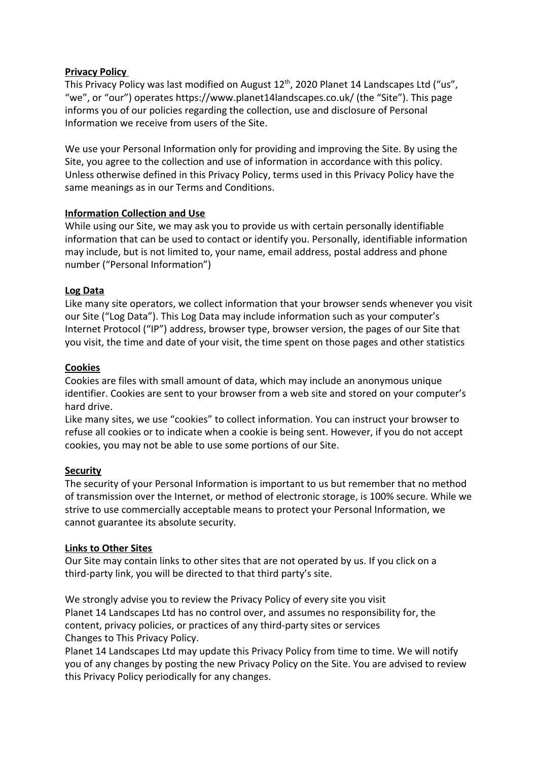# **Privacy Policy**

This Privacy Policy was last modified on August  $12^{\text{th}}$ , 2020 Planet 14 Landscapes Ltd ("us", "we", or "our") operates https://www.planet14landscapes.co.uk/ (the "Site"). This page informs you of our policies regarding the collection, use and disclosure of Personal Information we receive from users of the Site.

We use your Personal Information only for providing and improving the Site. By using the Site, you agree to the collection and use of information in accordance with this policy. Unless otherwise defined in this Privacy Policy, terms used in this Privacy Policy have the same meanings as in our Terms and Conditions.

## **Information Collection and Use**

While using our Site, we may ask you to provide us with certain personally identifiable information that can be used to contact or identify you. Personally, identifiable information may include, but is not limited to, your name, email address, postal address and phone number ("Personal Information")

## **Log Data**

Like many site operators, we collect information that your browser sends whenever you visit our Site ("Log Data"). This Log Data may include information such as your computer's Internet Protocol ("IP") address, browser type, browser version, the pages of our Site that you visit, the time and date of your visit, the time spent on those pages and other statistics

## **Cookies**

Cookies are files with small amount of data, which may include an anonymous unique identifier. Cookies are sent to your browser from a web site and stored on your computer's hard drive.

Like many sites, we use "cookies" to collect information. You can instruct your browser to refuse all cookies or to indicate when a cookie is being sent. However, if you do not accept cookies, you may not be able to use some portions of our Site.

#### **Security**

The security of your Personal Information is important to us but remember that no method of transmission over the Internet, or method of electronic storage, is 100% secure. While we strive to use commercially acceptable means to protect your Personal Information, we cannot guarantee its absolute security.

#### **Links to Other Sites**

Our Site may contain links to other sites that are not operated by us. If you click on a third-party link, you will be directed to that third party's site.

We strongly advise you to review the Privacy Policy of every site you visit Planet 14 Landscapes Ltd has no control over, and assumes no responsibility for, the content, privacy policies, or practices of any third-party sites or services Changes to This Privacy Policy.

Planet 14 Landscapes Ltd may update this Privacy Policy from time to time. We will notify you of any changes by posting the new Privacy Policy on the Site. You are advised to review this Privacy Policy periodically for any changes.